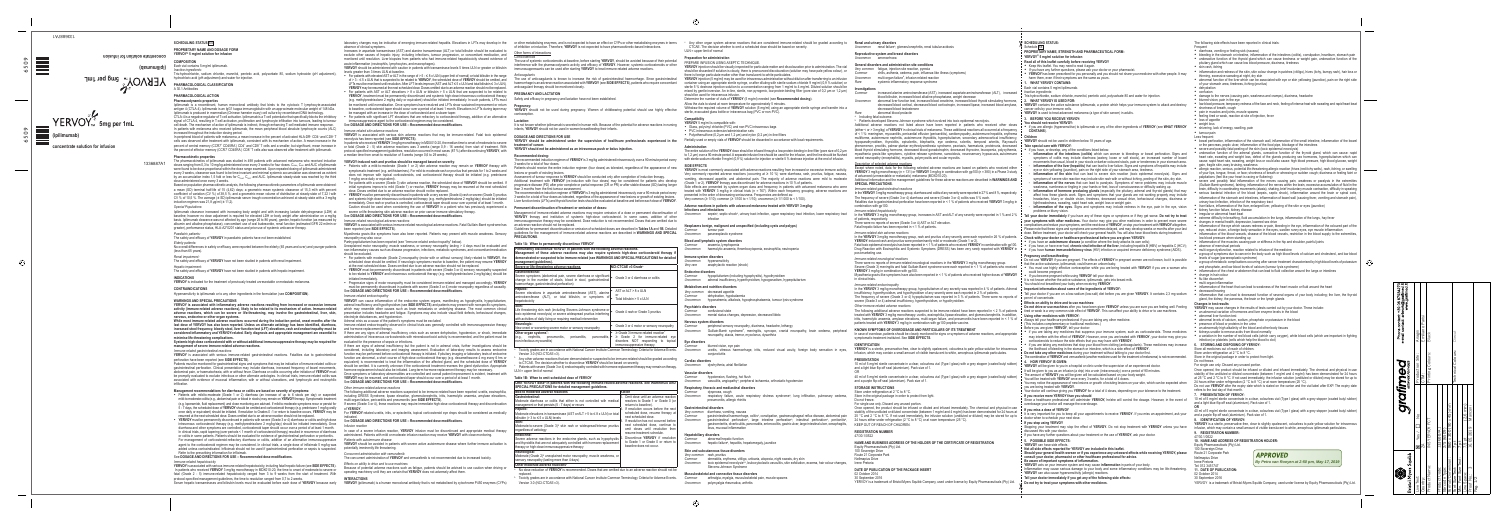6509

6509

**5mg per 1mL (ipilimumab)**

**concentrate solution for infusion**

**(ipilimumab)**

 $\Lambda$ EKAO $\lambda_{\cdot}^{N}$  amg per 1mL

**concentrate solution for infusion**

**SCHEDULING STATUS** S4

## **PROPRIETARY NAME AND DOSAGE FORM**

### **YERVOY® 5 mg/ml solution for infusion**

## **COMPOSITION**

Each vial contains 5 mg/ml ipilimumab.

**Pharmacodynamic properties** Ipilimumab is a recombinant, human monoclonal antibody that binds to the cytotoxic T lymphocyte-associated antigen 4 (CTLA-4). Ipilimumab is an IgG1 kappa immunoglobulin with an approximate molecular weight of 148 kDa. Ipilimumab is produced in mammalian (Chinese hamster ovary) cell culture by recombinant DNA technology.<br>CTLA-4 is a negative regulator of T-cell activation. Ipilimumab is a T-cell potentiator that specifically blocks the i

*Inactive ingredients:*  Tris-hydrochloride, sodium chloride, mannitol, pentetic acid, polysorbate 80, sodium hydroxide (pH adjustment), hydrochloric acid (pH-adjustment) and water for injection.

## **PHARMACOLOGICAL CLASSIFICATION**

signal of CTLA-4, resulting in T-cell activation, proliferation and lymphocyte infiltration into tumours, leading to tumour cell death. The mechanism of action of ipilimumab is indirect, through enhancing T-cell mediated immune response. In patients with melanoma who received ipilimumab, the mean peripheral blood absolute lymphocyte counts (ALC) ncreased throughout the induction dosing period.

A 30.1 Antibodies

# **PHARMACOLOGICAL ACTION**

In peripheral blood of patients with melanoma, a mean increase in the percent of activated HLA-DR<sup>+</sup> CD4<sup>+</sup> and CD8+ In peripheral blood of patients with melanoma, a mean increase in the percent of activated HLA-DR\* CD4\* and CD8\* T<br>cells was observed after treatment with ipilimumab, consistent with its mechanism of action. A mean increa the percent of effector memory (CCR7- CD45RA- ) CD8+ T cells also was observed after treatment with ipilimumab.

The connective properties of ipilimumab was studied in 498 patients with advanced melanoma who received induction doses ranging from 0,3 to 10 mg/kg administered once every 3 weeks for four doses.  $C_{\text{max}}$ ,  $C_{\text{min}}$  and AUC of ipilimumab were found to be dose proportional within the dose range examined. Upon repeated dosing of ipilimumab administered every 3 weeks, clearance was found to be time-invariant and minimal systemic by an accumulation index 1,5 fold or less for C<sub>max</sub>, C<sub>min</sub>, and AUC. Ipilimumab steady-state was reached by the third dose administered once every 3 weeks.

Based on population pharmacokinetic analysis, the following pharmacokinetic parameters of ipilimumab were obtained:<br>a mean (SD) terminal half-life of 15 (4,62) days; a geometric mean systemic clearance of 15,3 ml/h with p coefficient of variation (CV %) of 38,5 %; and a geometric mean volume of distribution at steady-state of 7,22 l with CV % of 10,5 %. The average (± SD) ipilimumab serum trough concentration achieved at steady-state with a 3 mg/kg induction regimen was  $21.8 \mu q/ml$  ( $\pm 11.2$ ).

Ipilimumab clearance increased with increasing body weight and with increasing lactate dehydrogenase (LDH) at baseline; however no dose adjustment is required for elevated LDH or body weight after administration on a mg/kg basis. Ipilimumab clearance was not affected by age (range 26 to 86 years), gender, hepatic function (as measured albumin and alkaline phosphatase), concomitant use of oral budesonide, renal function (estimated GFR 22 ml/min or<br>greater), performance status, HLA-A2\*0201 status and prior use of systemic anticancer therapy.

### **Pharmacokinetic properties**

### *Special Populations*:

Patients must be monitored for gastrointestinal signs and symptoms that may be indicative of immune-related colitis or<br>gastrointestinal perforation. Clinical presentation may include diarrhoea, increased frequency of bowel abdominal pain, or haematochezia, with or without fever. Diarrhoea or colitis occurring after initiation of **YERVOY** must be promptly evaluated to exclude infectious or other alternate aetiologies. In clinical trials, immune-related colitis was associated with evidence of mucosal inflammation, with or without ulcerations, and lymphocytic and neutrophilic infiltration.

- (e.g. loperamide, fluid replacement) and close monitoring are advised. If mild-to-moderate symptoms recur or persist for 5 - 7 days, the scheduled dose of **YERVOY** should be omitted and corticosteroid therapy (e.g. prednisone 1 mg/kg orally of YERVOY.<br>once daily or equivalent) should be initiated. If resolution to Grades 0 -1 or return to ba
- resumed at the next scheduled dose. Doses omitted due to an adverse reaction should not be replaced.<br>• YERVOY must be permanently discontinued in patients with severe (Grade 3 or 4) diarrhoea or colitis and high-dose<br>intra diarrhoea and other symptoms are controlled, corticosteroid taper should occur over a period of at least 1 month. In clinical trials, rapid tapering (over periods < 1 month of corticosteroid therapy) resulted in recurrence of diarrhoea or colitis in some patients. Patients should be evaluated for evidence of gastrointestinal perforation or peritonitis.
- For management of corticosteroid-refractory diarrhoea or colitis, addition of an alternative immunosuppressive *Patients with autoimmune disease* agent to the corticosteroid regimen may be considered. In clinical trials, a single dose of infliximab 5 mg/kg was **YERVOY** should be avoided in patier<br>added unless contraindicated. Infliximab should not be used if gastr Refer to the prescribing information for infliximab

*Paediatric patients:*

The safety and efficacy of **YERVOY** in paediatric patients have not been established.

*Elderly patients:* No overall differences in safety or efficacy were reported between the elderly (65 years and over) and younger patients (less than 65 years). *Renal impairment:*

The safety and efficacy of **YERVOY** have not been studied in patients with renal impairment.

*Hepatic impairment:* The safety and efficacy of **YERVOY** have not been studied in patients with hepatic impairment.

### **INDICATIONS**

**YERVOY** is indicated for the treatment of previously treated unresectable or metastatic melanoma. **CONTRAINDICATIONS**

*Immune-related hepatotoxicity*<br>**YERVOY** is associated with serious immune-related hepatotoxicity, including fatal hepatic failure (see SIDE EFFECTS).<br>In patients who received **YERVOY** 3 mg/kg monotherapy in MDX010-20, the fatal (Grade 2 - 5) immune-related hepatotoxicity ranged from 3 to 9 weeks from the start of treatment. With protocol-specified management guidelines, the time to resolution ranged from 0,7 to 2 weeks.

Serum hepatic transaminases and bilirubin levels must be evaluated before each dose of YERVOY because early YERVOY (ipilimumab) is a human monoclonal antibody that is not metabolised by cytochrome P450 enzymes (CYPs)

laboratory changes may be indicative of emerging immune-related hepatitis. Elevations in LFTs may develo

Hypersensitivity to ipilimumab or to any other ingredients in the formulation (see **COMPOSITION**).

## **WARNINGS AND SPECIAL PRECAUTIONS**

**YERVOY is associated with inflammatory adverse reactions resulting from increased or excessive immune**  activity (immune-related adverse reactions), likely to be related to its mechanism of action. Immune-related which may resemble other causes such as brain metastasis or underlying disease. The most common clinical **adverse reactions, which can be severe or life-threatening, may involve the gastrointestinal, liver, skin, nervous, endocrine or other organ systems.** 

While most immune-related adverse reactions occurred during the induction period, onset months after the **Adrenal crisis as a cause of the patient's** symptoms must be excluded. last dose of YERVOY has also been reported. Unless an alternate aetiology has been identified, diarrhoea,<br>increased stool frequency, bloody stool, liver function test (LFT) elevations, rash and endocrinopathy must be considered inflammatory and YERVOY-related. Early diagnosis and appropriate management are essential to If there are any signs of adrenal insufficiency crisis such as severe dehydration, hypotension, or shock, immediate

**YERVOY** should be administered with caution in patients with transaminase levels 5 times ULN or greater or bilirubin levels greater than 3 times ULN at baseline.<br>• For patients with elevated AST or ALT in the range of  $> 5 - 58$  x ULN (upper limit of normal) or total bilirubin in the range

For patients with elevated AST or ALT in the range of > 5 - ≤ 8 x ULN (upper limit of normal) or total bilirubin in the range<br>of > 3 - ≤ 5 x ULN that is suspected to be related to **YERVOY**, the scheduled dose of **YERVOY YERVOY** may be resumed at the next scheduled dose. Doses omitted due to an adverse reaction should not be replaced.

- • For patients with AST or ALT elevations > 8 x ULN or bilirubin > 5 x ULN that are suspected to be related to **YERVOY**, treatment must be permanently discontinued and systemic high-dose intravenous corticosteroid therapy (e.g. methylprednisolone 2 mg/kg daily or equivalent) should be initiated immediately. In such patients, LFTs must be monitored until normalisation. Once symptoms have resolved and LFTs show sustained improvement or return<br>to baseline, corticosteroid taper should occur over a period of at least 1 month. Elevations in LFTs during taper be managed with an increase in the dose of corticosteroid and a slower taper.
- • For patients with significant LFT elevations that are refractory to corticosteroid therapy, addition of an alternative osteroid regimen may be considere

**minimise life-threatening complications. Systemic high-dose corticosteroid with or without additional immunosuppressive therapy may be required for management of severe immune-related adverse reactions.** 

**YERVOY** is associated with serious skin adverse reactions that may be immune-related. Fatal toxic epidermal necrolysis has been reported (see **SIDE EFFECTS**). In patients who received **YERVOY** 3 mg/kg monotherapy in MDX010-20, the median time to onset of moderate-to-severe<br>or fatal (Grade 2 - 5) skin adverse reactions was 3 weeks (range 0,9 - 16 weeks) from sta protocol-specified management guidelines, resolution occurred in most cases (87 %) after discontinuing **YERVOY**, with a median time from onset to resolution of 5 weeks (range 0.6 to 29 weeks).

## *Immune-related gastrointestinal reactions*

**YERVOY** is associated with serious immune-related gastrointestinal reactions. Fatalities due to gastrointestinal perforation have been reported (see **SIDE EFFECTS**).

## **Management recommendations for diarrhoea or colitis are based on severity of symptoms:**

Unexplained motor neuropathy, muscle weakness, or sensory neuropathy lasting > 4 days must be evaluated and non-inflammatory causes such as disease progression, infections, metabolic syndromes, and concomitant medication **Permanently discontinue YERVOY in patients with the following adverse reactions.** 

If there are signs of adrenal insufficiency but the patient is not in adrenal crisis, further investigations should be considered, including laboratory and imaging assessment. Evaluation of laboratory results to assess endocrine<br>function may be performed before corticosteroid therapy is initiated. If pituitary imaging or laboratory tests o

# See **DOSAGE AND DIRECTIONS FOR USE – Recommended dose modifications**.

absence of clinical symptoms. Increases in aspartate transaminase (AST) and alanine transaminase (ALT) or total bilirubin should be evaluated to exclude other causes of hepatic injury, including infections, tumour progression, or concomitant medication, and<br>monitored until resolution. Liver biopsies from patients who had immune-related hepatotoxicity showed evidenc acute inflammation (neutrophils, lymphocytes, and macrophages).

> *Anticoagulants*<br>The use of anticoagulants is known to increase the risk of gastrointestinal haemorrhage. Since gastrointestinal<br>haemorrhage is an adverse reaction associated with **YERVOY** (see **SIDE EFFECTS**), patients wh anticoagulant therapy should be monitored closely.

**Lactation:**<br>It is not known whether ipilimumab is secreted in human milk. Because of the potential for adverse reactions in nursing infants, **YERVOY** should not be used in women breastfeeding their infants.

Myasthenia gravis-like symptoms have also been reported. Patients may present with muscle weakness. Sensory guidelines for the management of immune-related adverse reactions are described in WARNINGS AND SPECIAL Guidelines for permanent discontinuation or omission of scheduled doses are described in **Tables 1A** and **1B**. Detailed **PRECAUTIONS**.

## See **DOSAGE AND DIRECTIONS FOR USE – Recommended dose modifications**.

# *Immune-related skin adverse reactions*

to CTCAE. The decision whether to discontinue **YERVOY** should be based on severity. Patients with severe (Grade 3 or 4) endocrinopathy controlled with hormone replacement therapy may remain on therapy.

- **YERVOY-induced rash and pruritus should be managed based on severity**: • Patients with a mild-to-moderate (Grade 1 or 2) skin adverse reaction may remain on **YERVOY** therapy with symptomatic treatment (e.g. antihistamines). For mild-to-moderate rash or pruritus that persists for 1 to 2 weeks and does not improve with topical corticosteroids, oral corticosteroid therapy should be initiated (e.g. prednisone 1 mg/kg once daily or equivalent).
- • For patients with a severe (Grade 3) skin adverse reaction, the scheduled dose of **YERVOY** should be omitted. If
- initial symptoms improve to mild (Grade 1) or resolve, **YERVOY** therapy may be resumed at the next scheduled dose. Doses omitted due to an adverse reaction should not be replaced.
- **YERVOY** must be permanently discontinued in patients with a very severe (Grade 4) rash or severe (Grade 3) pruritus
- 
- and systemic high-dose intravenous corticosteroid therapy (e.g. methylprednisolone 2 mg/kg/day) should be initiated<br>immediately. Once rash or pruritus is controlled, corticosteroid taper should occur over a period of at le
- Caution should be used when considering the use of **YERVOY** in a patient who has previously experienced a severe or life-threatening skin adverse reaction on prior cancer immune stimulatory therapy. See **DOSAGE AND DIRECTIONS FOR USE – Recommended dose modifications**.

**YERVOY** injection should be visually inspected for particulate matter and discolouration prior to administration. The vial should be discarded if solution is cloudy, there is pronounced discolouration (solution may have pale yellow colour), or there is a foreign particulate matter other than translucent-to-white particulates.

## *Immune-related neurological adverse reactions*

**YERVOY** injection (5 mg/ml) may be used for intravenous administration without dilution after transferring to an infusion container using an appropriate sterile syringe, or after diluting with sterile sodium chloride 9 mg/ml (0,9 % solution) or sterile 5 % dextrose injection solution to a concentration ranging from 1 mg/ml to 4 mg/ml. Diluted solution should be<br>mixed by gentle inversion. An in-line, sterile, non-pyrogenic, low-protein-binding filter (pore size o

been reported (see **SIDE EFFECTS**).

uropathy may also occur

Allow the vials to stand at room temperature for approximately 5 minutes. Withdraw the required volume of **YERVOY** solution (5 mg/ml) using an appropriate sterile syringe and transfer into a sterile, evacuated glass bottle or intravenous bag (PVC or non-PVC).

Panhypopituitarism has been reported (see "*Immune-related endocrinopathy*" below).

- /C intravenous extension/administration sets
- • Polyethersulfone (0,2 μm and 1,2 μm) and nylon (0,2 μm) in-line filters

should be excluded.

**Administration**  The entire solution of the **YERVOY** dose should be infused through a low-protein-binding in-line filter (pore size of 0,2 μm to 1,2 μm) over a 90-minute period. A separate infusion line should be used for the infusion, and the line should be flushed with sterile sodium chloride 9 mg/ml (0,9 %) solution for injection or sterile 5 % dextrose injection at the end of infusion.

• For patients with moderate (Grade 2) neuropathy (motor with or without sensory) likely related to **YERVOY**, the

**SIDE EFFECTS YERVOY** is most commonly associated with adverse reactions resulting from increased or excessive immune activity. Very commonly reported adverse reactions (occurring at ≥ 10 %) were diarrhoea, rash, pruritus, fatigue, nausea, vomiting, decreased appetite, and abdominal pain. The majority of adverse reactions were mild to moderate<br>(Grade 1 or 2). **YERVOY** therapy was discontinued for adverse reactions in 10 % of patients.

Side effects are presented by system organ class and frequency in patients with advanced melanoma who were treated with **YERVOY** 3 mg/kg in clinical trials (n = 767). Within each frequency grouping, adverse reactions are presented in the order of decreasing seriousness. Frequencies are defined as: ery common (≥ 1/10); common (≥ 1/100 to < 1/10); uncommon (≥ 1/1 000 to < 1/100).

- scheduled dose should be omitted. If neurologic symptoms resolve to baseline, the patient may resume **YERVOY**  at the next scheduled dose. Doses omitted due to an adverse reaction should not be replaced.
- YERVOY must be permanently discontinued in patients with severe (Grade 3 or 4) sensory neuropathy suspected to be related to **YERVOY** and intravenous corticosteroid therapy (e.g. methylprednisolone 2 mg/kg/day) should be
- initiated immediately. • Progressive signs of motor neuropathy must be considered immune-related and managed accordingly. **YERVOY**
- andly discontinued in patients with severe (Grade 3 or 4) motor neuropathy regardless of causality. See **DOSAGE AND DIRECTIONS FOR USE – Recommended dose modifications**.

Uncommon sepsis<sup>a</sup>, septic shock<sup>a</sup>, urinary tract infection, upper respiratory tract infection, lower respiratory tract infection

**Lumour pain** *Uncommon* paraneoplastic syndrome

*Immune-related endocrinopathy* **YERVOY** can cause inflammation of the endocrine system organs, manifesting as hypophysitis, hypopituitarism,

*Common* hypopituitarism (including hypophysitis), hypothyroidism Uncommon adrenal insufficiency, hyperthyroidism, hypogonadism, hyperpituitaris

adrenal insufficiency and hypothyroidism (see **SIDE EFFECTS**) and patients may present with nonspecific symptoms,

dehydration, hypokalaemia *Uncommon* hyponatremia, alkalosis, hypophosphataemia, tumour lysis syndrome

presentation includes headache and fatigue. Symptoms may also include visual field defects, behavioural changes, electrolyte disturbances, and hypotension.

Immune-related endocrinopathy observed in clinical trials was generally controlled with immunosuppressive therapy and hormone replacement therapy.

> dyspnoea, cough Uncommon respiratory failure, acute respiratory distress syndrome<sup>a</sup>, lung infiltration, pulmonary oedema, pneumonitis, allergic rhinitis

administration of intravenous corticosteroids with mineralocorticoid activity is recommended, and the patient must be evaluated for the presence of sepsis or infections.

function are abnormal, a short course of high-dose corticosteroid therapy (e.g. dexamethasone 4 mg every 6 hrs or equivalent) is recommended to treat the inflammation of the affected gland, and the scheduled dose of **YERVOY**<br>should be omitted. It is currently unknown if the corticosteroid treatment reverses the gland dysfunction. Appr hormone replacement should also be initiated. Long-term hormone replacement therapy may be necessary. nce symptoms or laboratory abnormalities are controlled and overall patient improvement is evident, treatment with **YERVOY** may be resumed, and corticosteroid taper should occur over a period of at least 1 month. See **DOSAGE AND DIRECTIONS FOR USE – Recommended dose modifications**.

## *Other immune-related adverse reactions*

• Patients with mild-to-moderate (Grade 1 or 2) diarrhoea (an increase of up to 6 stools per day) or suspected including DRESS Syndrome, lipase elevation, glomerulonephritis, initis, haemolytic anaemia, amylase elevations, ing additional adverse reactions suspected to be immune-related have been reported: uveitis, eosinophilia, If severe (Grade 3 or 4), these reactions may require immediate high-dose corticosteroid therapy and discontinuation of the reactions may require immediate high-dose corticosteroid therapy and discontinuation.

**YERVOY** is associated with serious immune-related neurological adverse reactions. Fatal Guillain-Barré syndrome has an adverse reaction should not be replaced.

# YERVOY should be avoided in patients with severe active autoimmune disease where further immune acti

| op in the | or other metabolising enzymes, and is not expected to have an effect on CYPs or other metabolising enzymes in terms |
|-----------|---------------------------------------------------------------------------------------------------------------------|
|           | of inhibition or induction. Therefore, YERVOY is not expected to have pharmacokinetic-based interactions.           |

## Other forms of interactions

### *Corticosteroids*

The use of systemic corticosteroids at baseline, before starting **YERVOY**, should be avoided because of their potential interference with the pharmacodynamic activity and efficacy of **YERVOY**. However, systemic corticosteroids or other immunosuppressants can be used after starting **YERVOY** to treat immune-related adverse reactions.

# **PREGNANCY AND LACTATION**

Safety and efficacy in pregnancy and lactation have not been established.

**Pregnancy: YERVOY** should not be used during pregnancy. Women of childbearing potential should use highly effective contraception.

# **DOSAGE AND DIRECTIONS FOR USE**

**YERVOY should be administered under the supervision of healthcare professionals experienced in the treatment of cancer. YERVOY should not be administered as an intravenous push or bolus injection.**

**Recommended dosing:** The recommended induction regimen of **YERVOY** is 3 mg/kg administered intravenously over a 90-minute period every weeks for a total of four doses. Patients should receive the entire induction regimen (four doses) as tolerated, regardless of the appearance of new

lesions or growth of existing lesions. Assessment of tumour response to **YERVOY** should be conducted only after completion of induction therapy. Additional treatment with **YERVOY** (re-induction with four doses) may be considered for patients who develop progressive disease (PD) after prior complete or partial response (CR or PR) or after stable disease (SD) lasting longer

than 3 months from the first tumour assessment.<br>The recommended re-induction regimen of **YERVOY** is 3 mg/kg administered intravenously over a 90-minute period every 3 weeks for a total of four doses as tolerated, regardless of the appearance of new lesions or growth of existing lesions.<br>Liver function tests (LFTs) and thyroid function tests should be evaluated at baseline and before e

## **Permanent discontinuation of treatment or omission of doses:**

Management of immune-related adverse reactions may require omission of a dose or permanent discontinuation of **YERVOY** therapy and institution of systemic high-dose corticosteroid. In some cases, addition of other immunosuppressive therapy may be considered. Dose reduction is not recommended. Doses that are omitted due to

| See DOSAGE AND DIRECTIONS FOR USE – Recommended dose modifications                                                                            | Omit YERVOY dose <sup>a</sup> in patients with the following immune-related adverse reactions. See WARNINGS AND  |                                                           |
|-----------------------------------------------------------------------------------------------------------------------------------------------|------------------------------------------------------------------------------------------------------------------|-----------------------------------------------------------|
| Other immune-related adverse reactions                                                                                                        | SPECIAL PRECAUTIONS for detailed management guidelines.                                                          |                                                           |
| The following additional adverse reactions suspected to be immune-related have been reported: uveitis, eosinophilia,                          | Mild to moderate adverse reactions                                                                               | Action                                                    |
| including DRESS Syndrome, lipase elevation, glomerulonephritis, iritis, haemolytic anaemia, amylase elevations,                               | Gastrointestinal:                                                                                                | 1. Omit dose until an adverse reaction                    |
| multi-organ failure, pericarditis and pneumonitis (see SIDE EFFECTS).                                                                         | Moderate diarrhoea or colitis that either is not controlled with medical                                         | resolves to Grade 1 or Grade 0 (or                        |
| If severe (Grade 3 or 4), these reactions may require immediate high-dose corticosteroid therapy and discontinuation                          | management or that persists (5 - 7 days) or recurs                                                               | returns to baseline).                                     |
| of <b>YERVOY</b> .<br>For YERVOY-related uveitis, iritis, or episcleritis, topical corticosteroid eye drops should be considered as medically | Hepatic:                                                                                                         | 2. If resolution occurs before the next                   |
| indicated.                                                                                                                                    | Moderate elevations in transaminase (AST or ALT $>$ 5 to $\leq$ 8 x ULN) or total                                | scheduled dose, resume therapy at<br>next scheduled dose. |
| See DOSAGE AND DIRECTIONS FOR USE - Recommended dose modifications.                                                                           | $\text{bilirubin}$ (> 3 to $\leq$ 5 x ULN) levels<br>Skin:                                                       | If resolution has not occurred before                     |
| Infusion reaction                                                                                                                             | Moderate-to-severe (Grade 3) <sup>b</sup> skin rash or widespread/intense pruritus                               | next scheduled dose, continue to                          |
| In case of a severe infusion reaction, YERVOY infusion must be discontinued and appropriate medical therapy                                   | regardless of aetiology                                                                                          | omit doses until resolution then                          |
| administered. Patients with mild or moderate infusion reaction may receive YERVOY with close monitoring.                                      | Endocrine:                                                                                                       | resume treatment schedule.                                |
| Patients with autoimmune disease                                                                                                              | Severe adverse reactions in the endocrine glands, such as hypophysitis                                           | Discontinue YERVOY if resolution                          |
| YERVOY should be avoided in patients with severe active autoimmune disease where further immune activation is                                 | and thyroiditis that are not adequately controlled with hormone replacement                                      | to Grade 1 or Grade 0 or return to                        |
| potentially imminently life threatening.                                                                                                      | therapy or high-dose immunosuppressive therapy                                                                   | baseline does not occur.                                  |
| Concurrent administration with vemurafenib                                                                                                    | Neurological:                                                                                                    |                                                           |
| The concurrent administration of YERVOY and vemurafenib is not recommended due to increased toxicity.                                         | Moderate (Grade 2) <sup>b</sup> unexplained motor neuropathy, muscle weakness, or                                |                                                           |
| Effects on ability to drive and to use machines                                                                                               | sensory neuropathy (lasting more than 4 days)                                                                    |                                                           |
| Because of potential adverse reactions such as fatique, patients should be advised to use caution when driving or                             | Other moderate adverse reactions <sup>c</sup>                                                                    |                                                           |
| operating machinery until they are certain that YERVOY does not adversely affect them.                                                        | No dose reduction of YERVOY is recommended. Doses that are omitted due to an adverse reaction should not be      |                                                           |
|                                                                                                                                               | replaced.                                                                                                        |                                                           |
| <b>INTERACTIONS</b>                                                                                                                           | Toxicity grades are in accordance with National Cancer Institute Common Terminology Criteria for Adverse Events. |                                                           |

## **Table 1A: When to permanently discontinue YERVOY**

**Management of these adverse reactions may also require systemic high-dose corticosteroid therapy if demonstrated or suspected to be immune-related (see WARNINGS AND SPECIAL PRECAUTIONS for detailed management guidelines). Severe or life-threatening adverse reactions NCI-CTCAE v3 Grad Gastrointestinal:** Severe symptoms (abdominal pain, severe diarrhoea or significant change in the number of stools, blood in stool, gastrointestinal • Grade 3 or 4 diarrhoea or colitis haemorrhage, gastrointestinal perforation) **Hepatic:** Severe elevations in aspartate aminotransferase (AST), alanine bevere elevations in aspartate animotralisticities (AUT), alamine<br>aminotransferase (ALT), or total bilirubin, or symptoms of **Fig. 4** Total bilirubin > 5 x ULN hepatotoxicity  $\cdot$  AST or ALT > 8 x ULN **Skin:**<br>Life threatening skin rash (including Stevens-Johnson syndrome or oxic epidermal necrolysis) or severe widespread pruritus interfering n activities of daily living or requiring medical intervention • Grade 4 rash or Grade 3 pruritus **Neurologic:** New onset or worsening severe motor or sensory neuropathy • Grade 3 or 4 motor or sensory neuropathy **Other organ systems**<sup>b</sup> **:** (e.g., nephritis, pneumonitis, pericarditis, pancreatitis, • ≥ Grade 3 immune-related reaction<sup>c</sup> • ≥ Grade 2 for immune-related eye n-infectious myocarditis) disorders NOT responding to topical immunosuppressive therapy.

Toxicity grades are in accordance with National Cancer Institute Common Terminology Criteria for Adverse Events. Version 3.0 (NCI-CTCAE v3). Any other adverse reactions that are demonstrated or suspected to be immune-related should be graded according

ULN = upper limit of normal

# Table 1B: When to omit scheduled dose of YERVO

Version 3.0 (NCI-CTCAE v3).

<sup>c</sup> Any other organ system adverse reactions that are considered immune-related should be graded according to **Renal and urinary disorders** CTCAE. The decision whether to omit a scheduled dose should be based on severity. ULN = upper limit of normal

### **Preparation for administration**

# PREPARE INFUSION USING ASEPTIC TECHNIQUE.

should be used for intravenous infusion. Determine the number of vials of **YERVOY** (5 mg/ml) needed (see **Recommended dosing**).

# **Compatibility YERVOY** 5 mg/ml is compatible with:

Glass, polyvinyl chloride (PVC) and non-PVC intravenous bags

Line Space:  $7,5$  pt  $(2,6 \text{ mm})$ Proof No.: 3 16.05.2019 Manconi

Partially used or empty vials of **YERVOY** should be discarded in accordance with local requirements.

## **Adverse reactions in patients with advanced melanoma treated with YERVOY 3 mg/kg:**

**Infections and infestations**

**Neoplasms benign, malignant and unspecified (including cysts and polyps)**

# **Blood and lymphatic system disorders**

*Common* anaemia, lymphopenia *Uncommon* haemolytic anaemia, thrombocytopenia, eosinophilia, neutropenia

# **Immune system disorders**

*Uncommon* hypersensitivity *Very rare* anaphylactic reaction (shock)

## **Endocrine disorders**

### **Metabolism and nutrition disorders** *Very common* decreased appetite

# **Psychiatric disorders**

*Common* confusional state *Uncommon* mental status changes, depression, decreased libido

### **Nervous system disorders**

Common peripheral sensory neuropathy, dizziness, headache, lethargy<br>Uncommon Guillain-Barré syndromeª, meningitis, syncope, cranial neuropathy, brain oedema, peripheral<br>neuropathy, ataxia, tremor, myoclonus, dysarthria

**Eye disorders**

*Common* blurred vision, eye pain

*Uncommon* dysrhythmia, atrial fibrillation

# **Cardiac disorders Vascular disorders**

# *Common* hypotension, flushing, hot flush

Uncommon vasculitis, angiopathy<sup>a</sup>, peripheral ischaemia, orthostatic hypotension

# **Respiratory, thoracic and mediastinal disorders**

**Gastrointestinal disorders**

*Very common* diarrhoea, vomiting, nausea

Common gastrointestinal haemorrhage, colitis<sup>a</sup>, constipation, gastroesophageal reflux disease, abdominal pain Uncommon gastrointestinal perforation<sup>a</sup>, large intestine perforation<sup>a</sup>, intestinal perforation<sup>a</sup>, peritonitis<sup>a</sup>, 24 hours either under refrigeration (2 °C<br>gastroenteritis, diverticulitis, pancreatitis, enterocolitis, g

# ileus, mucosal inflammation **Hepatobiliary disorders**

Co*mmon* abnormal hepatic function<br>Uncommon hepatic failureª, hepatitis, hepatomegaly, jaundice

### **Skin and subcutaneous tissue disorders** *Very common* rash, pruritus

*Common* dermatitis, erythema, vitiligo, urticaria, alopecia, night sweats, dry skin Co*mmon* dermatitis, erythema, vitiligo, urticaria, alopecia, night sweats, dry skin<br>*Uncommon t*oxic epidermal necrolysisª.<sup>b</sup>, leukocytoclastic vasculitis, skin exfoliation, eczema, hair colour changes, Irene Pretoria Stevens-Johnson Syndrome

### **Musculoskeletal and connective tissue disorders**

*Common* arthralgia, myalgia, musculoskeletal pain, muscle spasms *Uncommon* polymyalgia rheumatica, arthritis

### **Reproductive system and breast disorders** *Uncommon* amenorrhoea

### **General disorders and administration site conditions**

| Very common | fatigue, injection site reaction, pyrexia                         |
|-------------|-------------------------------------------------------------------|
| Common      | chills, asthenia, oedema, pain, influenza-like illness (symptoms) |
| Uncommon    | multi-organ failure <sup>a</sup> , infusion related reaction      |

# Uncommon a multi-organ failure<sup>a</sup>, infusion related reaction<br>
Rare **Rare and Systemic inflammatory response syndrome**

# **Investigations**

- *Common* increased alanine aminotransferase (AST), increased aspartate aminotransferase (ALT), increased blood bilirubin, increased blood alkaline phosphatase, weight decrease *Uncommon* abnormal liver function test, increased blood creatinine, increased blood thyroid stimulating hormone, decreased blood cortisol, decreased blood corticotropin, increased lipase, increased blood amylase,
- decreased blood testosterone *Rare* abnormal blood prolactin

# Including fatal outcome.

*Uncommon* uveitis, vitreous haemorrhage, iritis, reduced visual acuity, foreign body sensation in eyes, conjunctivitis YERVOY is a sterile, preservative-free, clear to slightly opalescent, colourless to pale yellow infusion, which may contain a small amount of visible translucent to white, amorphous ipilim **PRESENTATION**

| Renal and urinary disorders                                                                                                                                                                                                                       | <b>SCHEDULING STATUS:</b>                                                                                                                                                                                                             | The following side effects have been reported in clinical trials:                                                                                                                                                                                       |   |                                   |                            |
|---------------------------------------------------------------------------------------------------------------------------------------------------------------------------------------------------------------------------------------------------|---------------------------------------------------------------------------------------------------------------------------------------------------------------------------------------------------------------------------------------|---------------------------------------------------------------------------------------------------------------------------------------------------------------------------------------------------------------------------------------------------------|---|-----------------------------------|----------------------------|
| renal failure <sup>a</sup> , glomerulonephritis, renal tubular acidosis<br>Uncommon                                                                                                                                                               | Schedule S4<br>PROPRIETARY NAME, STRENGTH AND PHARMACEUTICAL FORM:                                                                                                                                                                    | Frequent<br>· diarrhoea, vomiting or feeling sick (nausea)                                                                                                                                                                                              |   |                                   |                            |
| Reproductive system and breast disorders<br>Uncommon amenorrhoea                                                                                                                                                                                  | YERVOY <sup>®</sup> 5 mg/ml solution for infusion                                                                                                                                                                                     | • bleeding in the stomach or intestine, inflammation of the intestines (colitis), constipation, heartburn, stomach pain<br>• underactive function of the thyroid gland which can cause tiredness or weight gain, underactive function of the            |   |                                   |                            |
| General disorders and administration site conditions                                                                                                                                                                                              | Read all of this leaflet carefully before receiving YERVOY<br>• Keep this leaflet. You may need to read it again                                                                                                                      | pituitary gland which can cause low blood pressure, dizziness, tiredness                                                                                                                                                                                |   |                                   |                            |
| Very common fatigue, injection site reaction, pyrexia<br>chills, asthenia, oedema, pain, influenza-like illness (symptoms)<br>Common                                                                                                              | • If you have any further questions, please ask your doctor or your pharmacist.<br>• YERVOY has been prescribed for you personally and you should not share your medicine with other people. It may                                   | • skin rash, itching<br>• inflammation and redness of the skin, skin colour change in patches (vitiligo), hives (itchy, bumpy rash), hair loss or                                                                                                       |   |                                   |                            |
| multi-organ failure <sup>a</sup> , infusion related reaction<br>Uncommon                                                                                                                                                                          | harm them, even if their symptoms are the same as yours.                                                                                                                                                                              | thinning, excessive sweating at night, dry skin<br>• abnormal function of the liver which can be associated with eye or skin yellowing (jaundice), pain on the right side                                                                               |   |                                   |                            |
| Rare<br>systemic inflammatory response syndrome                                                                                                                                                                                                   | 1. WHAT YERVOY CONTAINS:<br>Each vial contains 5 mg/ml ipilimumab.                                                                                                                                                                    | of your stomach area, tiredness, itching (pruritus)                                                                                                                                                                                                     |   |                                   |                            |
| Investigations<br>Common<br>increased alanine aminotransferase (AST), increased aspartate aminotransferase (ALT), increased                                                                                                                       | Inactive ingredients:                                                                                                                                                                                                                 | • dehydration<br>• confusion                                                                                                                                                                                                                            |   |                                   |                            |
| blood bilirubin, increased blood alkaline phosphatase, weight decrease<br>abnormal liver function test, increased blood creatinine, increased blood thyroid stimulating hormone,<br>Uncommon                                                      | Tris-hydrochloride, sodium chloride, mannitol, pentetic acid, polysorbate 80 and water for injection.<br>2. WHAT YERVOY IS USED FOR:                                                                                                  | • damage to the nerves (causing pain, weakness and cramps), dizziness, headache<br>• blurred vision, pain in the eye                                                                                                                                    |   |                                   |                            |
| decreased blood cortisol, decreased blood corticotropin, increased lipase, increased blood amylase,                                                                                                                                               | <b>YERVOY</b> contains the active substance ipilimumab, a protein which helps your immune system to attack and destroy                                                                                                                | • low blood pressure, temporary redness of the face and neck, feeling of intense heat with sweating and rapid heart beat<br>• shortness of breath, cough                                                                                                |   |                                   |                            |
| decreased blood testosterone<br>Rare<br>abnormal blood prolactin                                                                                                                                                                                  | cancer cells by your immune cells.<br><b>YERVOY</b> is used to treat advanced melanoma (a type of skin cancer) in adults.                                                                                                             | • pain in muscles and joints, muscle spasms                                                                                                                                                                                                             |   |                                   |                            |
| <sup>a</sup> Including fatal outcome.<br><sup>b</sup> Patients developed Stevens-Johnson syndrome which evolved into toxic epidermal necrolysis.                                                                                                  | 3. BEFORE YOU RECEIVE YERVOY:                                                                                                                                                                                                         | • feeling tired or weak, reaction at site of injection, fever<br>• loss of appetite                                                                                                                                                                     |   |                                   |                            |
| Additional adverse reactions not listed above have been reported in patients who received other doses                                                                                                                                             | You should not receive YERVOY:<br>• if you are allergic (hypersensitive) to ipilimumab or any of the other ingredients of YERVOY (see WHAT YERVOY                                                                                     | • weight loss<br>• shivering, lack of energy, swelling, pain                                                                                                                                                                                            |   |                                   |                            |
| (either < or > 3 mg/kg) of YERVOY in clinical trials of melanoma. These additional reactions all occurred at a frequency<br>of < 1 %: meningism, myocarditis, pericardial effusion (pericarditis), cardiomyopathy, autoimmune hepatitis, erythema | <b>CONTAINS).</b>                                                                                                                                                                                                                     | • tumour pain                                                                                                                                                                                                                                           |   |                                   |                            |
| multiforme, autoimmune nephritis, autoimmune thyroiditis, hyperpituitarism, secondary adrenocortical insufficiency,<br>hypoparathyroidism, thyroiditis, episcleritis, blepharitis, eye oedema, scleritis, temporal arteritis, Raynaud's           | Children<br><b>YERVOY</b> should not be used in children below 18 years of age.                                                                                                                                                       | Less frequent<br>• bowel perforation, inflammation of the stomach wall, inflammation of the small intestine, inflammation of the bowel                                                                                                                  |   |                                   |                            |
| phenomenon, proctitis, palmar-plantar erythrodysesthesia syndrome, psoriasis, haematuria, proteinuria, decreased                                                                                                                                  | Take special care with YERVOY:                                                                                                                                                                                                        | or the pancreas, peptic ulcer, inflammation of the food pipe, blockage of the intestines<br>• severe and possibly fatal peeling of the skin (toxic epidermal necrolysis)                                                                                |   |                                   |                            |
| blood thyroid stimulating hormone, decreased blood gonadotrophin, decreased thyroxine, leucopenia, polycythemia,<br>myasthenia gravis-like symptoms, cytokine release syndrome, sarcoidosis, neurosensory hypoacusis, autoimmune                  | • if you have, or develop, any of the conditions listed below:<br>inflammation of the intestines (colitis) which can worsen to bleedings or bowel perforation. Signs and                                                              | underactive function of the adrenal glands, overactive function of the thyroid gland, which can cause: rapid                                                                                                                                            |   |                                   |                            |
| central neuropathy (encephalitis), myositis, polymyositis and ocular myositis.<br>Description of selected adverse reactions                                                                                                                       | symptoms of colitis may include diarrhoea (watery, loose or soft stools), an increased number of bowel<br>movements than usual, blood in your stools or darker-coloured stools, pain or tenderness in your stomach area.              | heart rate, sweating and weight loss, defect of the glands producing sex hormones, hyperpituitarism which can<br>cause: rapid heart rate, sweating, weight loss or could also cause: high blood pressure, high blood glucose, weight                    |   |                                   |                            |
| Except where noted, data for the following selected adverse reactions are based on patients who received either                                                                                                                                   | inflammation of the liver (hepatitis) that can lead to liver failure. Signs and symptoms of hepatitis may include<br>eye or skin yellowing (jaundice), pain on the right side of your stomach area, tiredness.                        | gain, fragile skin, easy bruising, weakness<br>• allergic reaction, serious, potential life-threatening allergic reaction (hives (red itchy welts), rash, itching, or swelling                                                                          |   |                                   |                            |
| YERVOY 3 mg/kg monotherapy (n = 131) or YERVOY 3 mg/kg in combination with gp100 (n = 380) in a Phase 3 study<br>of advanced (unresectable or metastatic) melanoma (MDX010-20).                                                                   | inflammation of the skin that can lead to severe skin reaction (toxic epidermal necrolysis). Signs and                                                                                                                                | of your lips, tongue, throat, or face; shortness of breath or wheezing or sudden cough; dizziness or feeling faint or                                                                                                                                   |   |                                   |                            |
| Additional information and the management guidelines for these adverse reactions are described in WARNINGS AND<br><b>SPECIAL PRECAUTIONS.</b>                                                                                                     | symptoms of severe skin reaction may include skin rash with or without itching, peeling of the skin, dry skin.<br>inflammation of the nerves that can lead to paralysis. Symptoms of nerve problems may include muscle                | palpitations (feel like your heart is racing or fluttering)<br>• severe and possibly fatal inflammation of the nerves causing pain, weakness or paralysis in the extremities                                                                            |   |                                   |                            |
| Immune-related gastrointestinal reactions                                                                                                                                                                                                         | weakness, numbness or tingling in your hands or feet, loss of consciousness or difficulty waking up.<br>inflammation of hormone producing glands (especially the pituitary, adrenal and thyroid glands) that may                      | (Guillain-Barré syndrome), fainting, inflammation of the nerves within the brain, excessive accumulation of fluid in the<br>brain, difficulty in coordinating movements (ataxia), shaking, brief involuntary muscle contraction, difficulty in speaking |   |                                   |                            |
| In the YERVOY 3 mg/kg monotherapy group, diarrhoea and colitis of any severity were reported in 27 % and 8 %, respectively.<br>The frequency of severe (Grade 3 or 4) diarrhoea and severe (Grade 3 or 4) colitis was 5 % each.                   | affect how these glands work. Signs and symptoms that your glands are not working properly may include                                                                                                                                | serious bacterial infection of the blood (sepsis, septic shock), inflammation around the brain or spinal cord,<br>inflammation of the stomach and intestines, inflammation of bowel wall (causing fever, vomiting and stomach pain),                    |   |                                   |                            |
| Fatalities due to gastrointestinal perforation have been reported in < 1 % of patients who received YERVOY 3 mg/kg in                                                                                                                             | headaches, blurry or double vision, tiredness, decreased sexual drive, behavioural changes, dizziness or<br>lightheadedness, sweating, rapid heart rate, weight loss or weight gain                                                   | urinary tract infection, infection of the respiratory tract                                                                                                                                                                                             |   |                                   |                            |
| combination with gp100.<br>Immune-related hepatotoxicity                                                                                                                                                                                          | inflammation of the eyes. Signs and symptoms may include redness in the eye, pain in the eye, vision                                                                                                                                  | • liver failure, inflammation of the liver, enlarged liver, yellowing of the skin or eyes (jaundice)<br>• kidney function failure, kidney disease                                                                                                       |   |                                   |                            |
| In the YERVOY 3 mg/kg monotherapy group, increases in AST and ALT of any severity were reported in 1 % and 2 %                                                                                                                                    | problems or blurry vision.<br>Tell your doctor immediately if you have any of these signs or symptoms or if they get worse. Do not try to treat                                                                                       | • irregular or abnormal heart beat<br>• extreme difficulty in breathing, fluid accumulation in the lungs, inflammation of the lungs, hay fever                                                                                                          |   |                                   |                            |
| of patients, respectively.<br>There were no reports of severe (Grade 3 or 4) AST or ALT elevation.                                                                                                                                                | your symptoms with other medicines. Your doctor may give you other medicines in order to prevent more severe<br>complications and reduce your symptoms, omit the next dose of YERVOY, or stop your treatment with YERVOY altogether.  | • changes in mental health, depression, lowered sex drive                                                                                                                                                                                               |   |                                   |                            |
| Fatal hepatic failure has been reported in < 1 % of patients.                                                                                                                                                                                     | Please note that these signs and symptoms are sometimes delayed, and may develop weeks or months after your last                                                                                                                      | • inflammation of the eye which causes redness or pain, bleeding in the eye, inflammation of the coloured part of the<br>eye, reduced vision, a foreign body sensation in the eyes, swollen runny eyes, eye muscle inflammation                         |   |                                   |                            |
| Immune-related skin adverse reactions<br>In the YERVOY 3 mg/kg monotherapy group, rash and pruritus of any severity were each reported in 26 % of patients.                                                                                       | dose. Before treatment, your doctor will check your general health. You will also have blood tests during treatment.<br>Check with your doctor or healthcare professional before you are given YERVOY:                                | • inflammation of the blood vessels, disease of the blood vessels, restriction in the blood supply to the extremities,<br>low blood pressure when standing up                                                                                           |   |                                   |                            |
| <b>YERVOY-induced rash and pruritus were predominantly mild or moderate (Grade 1 or 2).</b><br>Fatal toxic epidermal necrolysis has been reported in < 1 % of patients who received YERVOY in combination with gp100.                             | • if you have an <b>autoimmune disease</b> (a condition where the body attacks its own cells);                                                                                                                                        | • inflammation of the muscles causing pain or stiffness in the hip and shoulder, painful joints                                                                                                                                                         |   |                                   |                            |
| Drug Reaction with Eosinophilia and Systemic Symptoms (DRESS) has been very rarely reported with YERVOY in                                                                                                                                        | • if you have, or have ever had, chronic viral infection of the liver, including hepatitis B (HBV) or hepatitis C (HCV);<br>• if you have human immunodeficiency virus (HIV) infection or acquired immune deficiency syndrome (AIDS). | absence of menstrual periods<br>• multi organ dysfunction, reaction related to infusion of the medicine                                                                                                                                                 |   |                                   |                            |
| post-marketing use.<br>Immune-related neurological reactions                                                                                                                                                                                      | Pregnancy and breastfeeding:                                                                                                                                                                                                          | • a group of symptoms due to cancer in the body such as high blood levels of calcium and cholesterol, and low blood<br>levels of sugar (paraneoplastic syndrome)                                                                                        |   |                                   |                            |
| There were no reports of immune-related neurological reactions in the YERVOY 3 mg/kg monotherapy group.                                                                                                                                           | Do not use YERVOY if you are pregnant. The effects of YERVOY in pregnant women are not known, but it is possible<br>that the active substance, ipilimumab, could harm an unborn baby.                                                 | • a group of metabolic complications occurring after cancer treatment characterised by high blood levels of potassium                                                                                                                                   | ◈ |                                   |                            |
| Severe (Grade 3) meningitis and fatal Guillain-Barré syndrome were each reported in < 1 % of patients who received<br><b>YERVOY</b> 3 mg/kg in combination with gp100.                                                                            | • You must use highly effective contraception while you are being treated with YERVOY if you are a woman who<br>could become pregnant                                                                                                 | and phosphate, and low blood levels of calcium (tumour lysis syndrome)<br>inflammation of the chest or abdomen that can lead to fluid collection around the lungs or intestines                                                                         |   |                                   |                            |
| Myasthenia gravis-like symptoms have also been reported in < 1 % of patients who received higher doses of YERVOY<br>in clinical trials.                                                                                                           | • If you become pregnant while using YERVOY tell your doctor.                                                                                                                                                                         | • change in hair colour<br>• flu-like discomfort                                                                                                                                                                                                        |   |                                   |                            |
| Immune-related endocrinopathy                                                                                                                                                                                                                     | It is not known whether the active substance, ipilimumab, gets into breast milk.<br>You should not breastfeed your baby when receiving YERVOY.                                                                                        | • multi-organ inflammation<br>• inflammation of the heart that can lead to weakness of the heart muscle or fluid around the heart                                                                                                                       |   |                                   |                            |
| In the YERVOY 3 mg/kg monotherapy group, hypopituitarism of any severity was reported in 4 % of patients. Adrenal<br>insufficiency, hyperthyroidism, and hypothyroidism of any severity were each reported in 2 % of patients.                    | Important information about some of the ingredients of YERVOY:<br>Tell your doctor if you are on a low-sodium (low-salt) diet before you are given YERVOY. It contains 2,3 mg sodium                                                  | • decreased hearing                                                                                                                                                                                                                                     |   | 8793427<br>grafimed.<br>grafimed. |                            |
| The frequency of severe (Grade 3 or 4) hypopituitarism was reported in 3 % of patients. There were no reports of<br>severe (Grade 3 or 4) adrenal insufficiency, hyperthyroidism, or hypothyroidism.                                              | per ml of concentrate.                                                                                                                                                                                                                | inflammation that can lead to decreased function of several organs of your body including; the liver, the thyroid<br>gland, the kidney, the pancreas, the brain or the lymph glands                                                                     |   |                                   |                            |
| Other immune-related adverse reactions                                                                                                                                                                                                            | Effects on ability to drive and to use machines:<br>Do not drive or use machines after you have been given YERVOY unless you are sure you are feeling well. Feeling                                                                   | Changes in test results<br><b>YERVOY</b> may cause changes in the results of tests carried out by your doctor. These include:                                                                                                                           |   | ≲@ွိ≨                             |                            |
| The following additional adverse reactions suspected to be immune-related have been reported in $\lt 2$ % of patients<br>treated with YERVOY 3 mg/kg monotherapy: uveitis, eosinophilia, lipase elevation, and glomerulonephritis. In addition,   | tired or weak is a very common side effect of YERVOY. This can affect your ability to drive or to use machines.                                                                                                                       | • an abnormal variation of hormones and liver enzyme levels in the blood                                                                                                                                                                                |   | ខ្លួ} ≶                           |                            |
| iritis, haemolytic anaemia, amylase elevations, multi-organ failure, and pneumonitis have been reported in < 1 % of                                                                                                                               | Using other medicines with YERVOY:<br>Always tell your healthcare professional if you are taking any other medicine.                                                                                                                  | • abnormal liver function test<br>• abnormal levels of calcium, sodium, phosphate or potassium in the blood                                                                                                                                             |   | contact:<br>ntact: art            |                            |
| patients treated with YERVOY 3 mg/kg in combination with gp100 peptide vaccine.                                                                                                                                                                   | (This includes complementary or traditional medicines.)<br>Before you are given YERVOY, tell your doctor:                                                                                                                             | • presence of blood or proteins in the urine<br>• an abnormally high alkalinity of the blood and other body tissues                                                                                                                                     |   |                                   | $\circ$                    |
| KNOWN SYMPTOMS OF OVERDOSAGE AND PARTICULARS OF ITS TREATMENT<br>In case of overdose, patients should be closely monitored for signs or symptoms of adverse reactions, and appropriate                                                            | • if you are taking any medicines that suppress your immune system, such as corticosteroids. These medicines                                                                                                                          | • kidneys unable to remove acids from blood normally                                                                                                                                                                                                    |   | Phone<br>mail co                  | Anagni<br>Emilian<br>Black |
| symptomatic treatment instituted. See SIDE EFFECTS.                                                                                                                                                                                               | may interfere with the effect of YERVOY. However, once you are treated with YERVOY, your doctor may give you<br>corticosteroids to reduce the side effects that you may have with YERVOY.                                             | • a variation in the number of red blood cells (which carry oxygen), white blood cells (which are important in fighting<br>infection) or platelets (cells which help the blood to clot)                                                                 |   |                                   |                            |
| IDENTIFICATION                                                                                                                                                                                                                                    | • if you are taking any medicines that stop your blood from clotting (anticoagulants). These medicines may increase<br>the likelihood of bleeding in the stomach or intestine, which is a side effect of YERVOY.                      | 6. STORING AND DISPOSING OF YERVOY:<br>Store all medicines out of reach of children.                                                                                                                                                                    |   |                                   |                            |
| YERVOY is a sterile, preservative-free, clear to slightly opalescent, colourless to pale yellow solution for intravenous<br>infusion, which may contain a small amount of visible translucent to white, amorphous ipilimumab particulates.        | Do not take any other medicines during your treatment without talking to your doctor first.                                                                                                                                           | Store under refrigeration at 2 °C to 8 °C.                                                                                                                                                                                                              |   |                                   |                            |
| <b>PRESENTATION</b>                                                                                                                                                                                                                               | The combination of YERVOY and vemurafenib (another medicine used for the treatment of melanoma) is not recommended.<br>4. HOW YERVOY IS GIVEN:                                                                                        | Store in the original package in order to protect from light.<br>Do not freeze.                                                                                                                                                                         |   |                                   |                            |
| 10 ml of 5 mg/ml sterile concentrate in a clear, colourless vial (Type I glass) with a grey stopper (coated butyl rubber)<br>and a light blue flip-off seal (aluminium). Pack size of 1.                                                          | <b>YERVOY</b> will be given to you in a hospital or clinic under the supervision of an experienced doctor.                                                                                                                            | For single use only. Discard any unused portion.<br>Once opened, the product should be infused or diluted and infused immediately. The chemical and physical in-use                                                                                     |   | Ō                                 |                            |
| OR<br>40 ml of 5 mg/ml sterile concentrate in a clear, colourless vial (Type I glass) with a grey stopper (coated butyl rubber)                                                                                                                   | It will be given to you as an infusion (a drip) into a vein (intravenously) over a period of 90 minutes.<br>The amount of YERVOY you will be given will be calculated based on your body weight.                                      | stability of the undiluted or diluted concentrate (between 1 mg/ml and 4 mg/ml) has been demonstrated for 24 hours                                                                                                                                      |   | $\mathbf 0$                       |                            |
| and a purple flip-off seal (aluminium). Pack size of 1.                                                                                                                                                                                           | You will be treated with YERVOY once every 3 weeks, for a total of 4 doses.<br>You may notice the appearance of new lesions or growth of existing lesions on your skin, which can be expected when                                    | at 25 °C and 2 °C to 8 °C. If not used immediately, the infusion solution (undiluted or diluted) may be stored for up to<br>24 hours either under refrigeration (2 °C to 8 °C) or at room temperature (25 °C).                                          |   |                                   |                            |
| <b>STORAGE INSTRUCTIONS</b>                                                                                                                                                                                                                       | you are being treated with YERVOY.                                                                                                                                                                                                    | Do not use YERVOY after the expiry date which is stated on the carton and the vial label after EXP. The expiry date<br>refers to the last day of that month.                                                                                            |   |                                   |                            |
| Store under refrigeration at 2 °C to 8 °C.<br>Store in the original package in order to protect from light.                                                                                                                                       | Your doctor will continue giving you YERVOY for a total of 4 doses, depending on your tolerance to the treatment.<br>If you receive more YERVOY than you should                                                                       | 7. PRESENTATION OF YERVOY:                                                                                                                                                                                                                              |   |                                   |                            |
| Do not freeze.<br>For single use only. Discard any unused portion.                                                                                                                                                                                | Since a healthcare professional will administer YERVOY, he/she will control the dosage. However, in the event of<br>overdosage your doctor will manage the overdosage.                                                                | 10 ml of 5 mg/ml sterile concentrate in a clear, colourless vial (Type I glass) with a grey stopper (coated butyl rubber)<br>and a light blue flip-off seal (aluminium). Pack size of 1.                                                                |   | grafim                            |                            |
| Once opened, the product should be infused or diluted and infused immediately. The chemical and physical in-use                                                                                                                                   | If you miss a dose of YERVOY                                                                                                                                                                                                          | 0R<br>40 ml of 5 mg/ml sterile concentrate in a clear, colourless vial (Type I glass) with a grey stopper (coated butyl rubber)                                                                                                                         |   |                                   |                            |
| stability of the undiluted or diluted concentrate (between 1 mg/ml and 4 mg/ml) has been demonstrated for 24 hours at<br>25 °C and 2 °C to 8 °C. If not used immediately, the infusion solution (undiluted or diluted) may be stored for up to    | It is very important for you to keep all your appointments to receive YERVOY. If you miss an appointment, ask your<br>doctor when to schedule your next dose.                                                                         | and a purple flip-off seal (aluminium). Pack size of 1.                                                                                                                                                                                                 |   |                                   |                            |
| 24 hours either under refrigeration (2 °C to 8 °C) or at room temperature (25 °C).<br>KEEP OUT OF REACH OF CHILDREN.                                                                                                                              | If you stop using YERVOY                                                                                                                                                                                                              | 8. IDENTIFICATION OF YERVOY:<br><b>YERVOY</b> is a sterile, preservative-free, clear to slightly opalescent, colourless to pale yellow solution for intravenous                                                                                         |   |                                   |                            |
| <b>REGISTRATION NUMBER</b>                                                                                                                                                                                                                        | Stopping your treatment may stop the effect of YERVOY. Do not stop treatment with YERVOY unless you have<br>discussed this with your doctor.                                                                                          | infusion, which may contain a small amount of visible translucent to white, amorphous ipilimumab particulates.                                                                                                                                          |   |                                   |                            |
| 47/30.1/0522                                                                                                                                                                                                                                      | If you have any further questions about your treatment or the use of YERVOY, ask your doctor.                                                                                                                                         | 9. REGISTRATION NUMBER:<br>47/30.1/0522                                                                                                                                                                                                                 |   |                                   |                            |
| NAME AND BUSINESS ADDRESS OF THE HOLDER OF THE CERTIFICATE OF REGISTRATION                                                                                                                                                                        | 5. POSSIBLE SIDE EFFECTS:<br><b>YERVOY</b> can have side effects                                                                                                                                                                      | 10. NAME AND ADDRESS OF REGISTRATION HOLDER:<br>Equity Pharmaceuticals (Pty) Ltd.                                                                                                                                                                       |   |                                   |                            |
| Equity Pharmaceuticals (Pty) Ltd.<br>100 Sovereign Drive                                                                                                                                                                                          | Not all side effects reported for YERVOY are included in this leaflet.                                                                                                                                                                | 100 Sovereign Drive                                                                                                                                                                                                                                     |   |                                   | ⊠ା¥ା                       |
| Route 21 Corporate Park<br>Nellmapius Drive                                                                                                                                                                                                       | Should your general health worsen or if you experience any untoward effects while receiving YERVOY, please<br>consult your doctor, pharmacist or other healthcare professional for advice.                                            | Route 21 Corporate Park<br><b>APPROVED</b><br>Nellmapius Drive                                                                                                                                                                                          |   | $S$ quibb                         |                            |
| Irene Pretoria                                                                                                                                                                                                                                    | Be aware of important symptoms of inflammation.<br>YERVOY acts on your immune system and may cause inflammation in parts of your body.                                                                                                | Irene Pretoria<br>By Petra van Rooyen at 2:50 pm, May 17, 2019<br>Tel: 012 3451747                                                                                                                                                                      |   |                                   |                            |
| DATE OF PUBLICATION OF THE PACKAGE INSERT                                                                                                                                                                                                         | Inflammation may cause serious damage to your body and some inflammatory conditions may be life-threatening.<br><b>YERVOY</b> can also cause hypersensitivity (allergic) reactions.                                                   | 11. DATE OF PUBLICATION:                                                                                                                                                                                                                                |   | S                                 |                            |
| 02 October 2014<br>30 September 2016                                                                                                                                                                                                              | Tell your doctor immediately if you get any of the following side effects:                                                                                                                                                            | 02 October 2014<br>30 September 2016                                                                                                                                                                                                                    |   | ristol-Myers                      |                            |
| YERVOY is a trademark of Bristol-Myers Squibb Company, used under license by Equity Pharmaceuticals (Pty) Ltd.                                                                                                                                    | Do not try to treat your symptoms with other medicines.                                                                                                                                                                               | YERVOY is a trademark of Bristol-Myers Squibb Company, used under license by Equity Pharmaceuticals (Pty) Ltd.                                                                                                                                          |   |                                   |                            |
|                                                                                                                                                                                                                                                   |                                                                                                                                                                                                                                       |                                                                                                                                                                                                                                                         |   |                                   |                            |

1336887A1

1336887A1

Format/Dimension: 860 x 300 (90 x 45) mm

Font Size Text: 7 pt Technical Colours: Diecut

Min. Font Size Text: 7 pt



Product Code: 1336887A1 Barcode Type: 2/5 (6509)